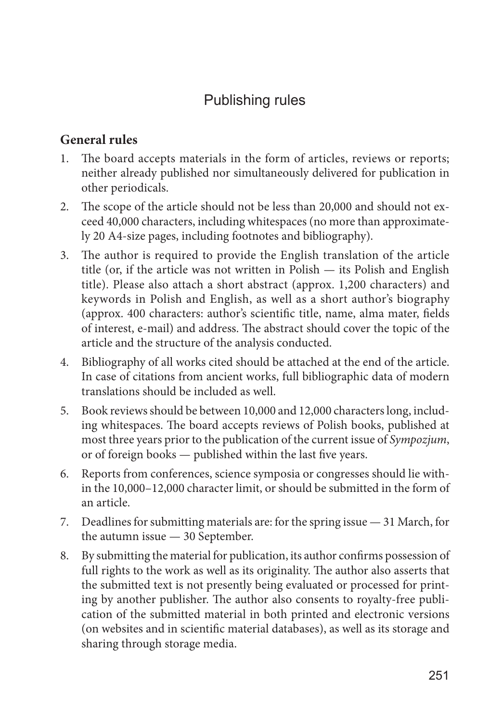# Publishing rules

# **General rules**

- 1. The board accepts materials in the form of articles, reviews or reports; neither already published nor simultaneously delivered for publication in other periodicals.
- 2. The scope of the article should not be less than 20,000 and should not exceed 40,000 characters, including whitespaces (no more than approximately 20 A4-size pages, including footnotes and bibliography).
- 3. The author is required to provide the English translation of the article title (or, if the article was not written in Polish — its Polish and English title). Please also attach a short abstract (approx. 1,200 characters) and keywords in Polish and English, as well as a short author's biography (approx. 400 characters: author's scientific title, name, alma mater, fields of interest, e-mail) and address. The abstract should cover the topic of the article and the structure of the analysis conducted.
- 4. Bibliography of all works cited should be attached at the end of the article. In case of citations from ancient works, full bibliographic data of modern translations should be included as well.
- 5. Book reviews should be between 10,000 and 12,000 characters long, including whitespaces. The board accepts reviews of Polish books, published at most three years prior to the publication of the current issue of *Sympozjum*, or of foreign books — published within the last five years.
- 6. Reports from conferences, science symposia or congresses should lie within the 10,000–12,000 character limit, or should be submitted in the form of an article.
- 7. Deadlines for submitting materials are: for the spring issue 31 March, for the autumn issue — 30 September.
- 8. By submitting the material for publication, its author confirms possession of full rights to the work as well as its originality. The author also asserts that the submitted text is not presently being evaluated or processed for printing by another publisher. The author also consents to royalty-free publication of the submitted material in both printed and electronic versions (on websites and in scientific material databases), as well as its storage and sharing through storage media.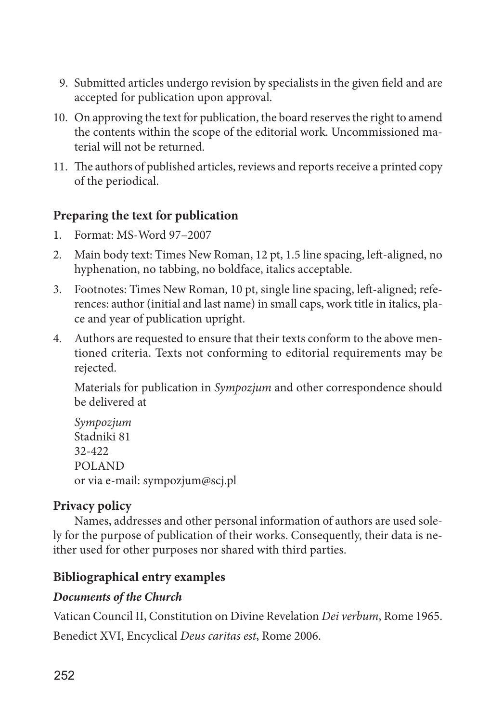- 9. Submitted articles undergo revision by specialists in the given field and are accepted for publication upon approval.
- 10. On approving the text for publication, the board reserves the right to amend the contents within the scope of the editorial work. Uncommissioned material will not be returned.
- 11. The authors of published articles, reviews and reports receive a printed copy of the periodical.

# **Preparing the text for publication**

- 1. Format: MS-Word 97–2007
- 2. Main body text: Times New Roman, 12 pt, 1.5 line spacing, left-aligned, no hyphenation, no tabbing, no boldface, italics acceptable.
- 3. Footnotes: Times New Roman, 10 pt, single line spacing, left-aligned; references: author (initial and last name) in small caps, work title in italics, place and year of publication upright.
- 4. Authors are requested to ensure that their texts conform to the above mentioned criteria. Texts not conforming to editorial requirements may be rejected.

Materials for publication in *Sympozjum* and other correspondence should be delivered at

*Sympozjum* Stadniki 81 32-422 POLAND or via e-mail: sympozjum@scj.pl

# **Privacy policy**

Names, addresses and other personal information of authors are used solely for the purpose of publication of their works. Consequently, their data is neither used for other purposes nor shared with third parties.

# **Bibliographical entry examples**

# *Documents of the Church*

Vatican Council II, Constitution on Divine Revelation *Dei verbum*, Rome 1965.

Benedict XVI, Encyclical *Deus caritas est*, Rome 2006.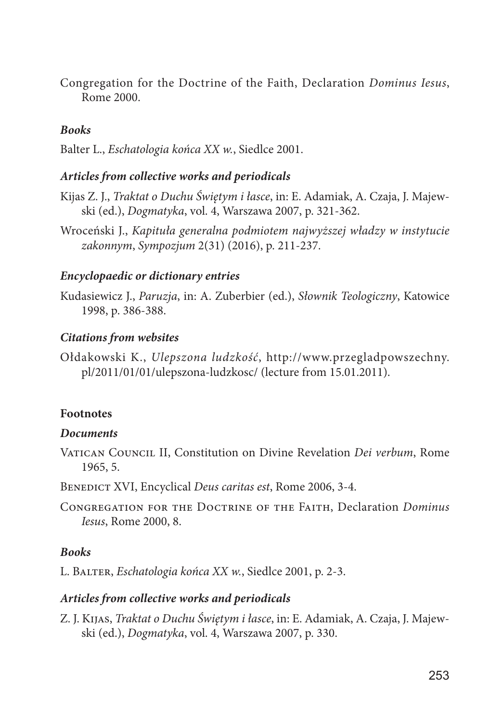Congregation for the Doctrine of the Faith, Declaration *Dominus Iesus*, Rome 2000.

### *Books*

Balter L., *Eschatologia końca XX w.*, Siedlce 2001.

#### *Articles from collective works and periodicals*

- Kijas Z. J., *Traktat o Duchu Świętym i łasce*, in: E. Adamiak, A. Czaja, J. Majewski (ed.), *Dogmatyka*, vol. 4, Warszawa 2007, p. 321-362.
- Wroceński J., *Kapituła generalna podmiotem najwyższej władzy w instytucie zakonnym*, *Sympozjum* 2(31) (2016), p. 211-237.

#### *Encyclopaedic or dictionary entries*

Kudasiewicz J., *Paruzja*, in: A. Zuberbier (ed.), *Słownik Teologiczny*, Katowice 1998, p. 386-388.

#### *Citations from websites*

Ołdakowski K., *Ulepszona ludzkość*, http://www.przegladpowszechny. pl/2011/01/01/ulepszona-ludzkosc/ (lecture from 15.01.2011).

#### **Footnotes**

#### *Documents*

- Vatican Council II, Constitution on Divine Revelation *Dei verbum*, Rome 1965, 5.
- Benedict XVI, Encyclical *Deus caritas est*, Rome 2006, 3-4.
- Congregation for the Doctrine of the Faith, Declaration *Dominus Iesus*, Rome 2000, 8.

#### *Books*

L. Balter, *Eschatologia końca XX w.*, Siedlce 2001, p. 2-3.

#### *Articles from collective works and periodicals*

Z. J. Kijas, *Traktat o Duchu Świętym i łasce*, in: E. Adamiak, A. Czaja, J. Majewski (ed.), *Dogmatyka*, vol. 4, Warszawa 2007, p. 330.